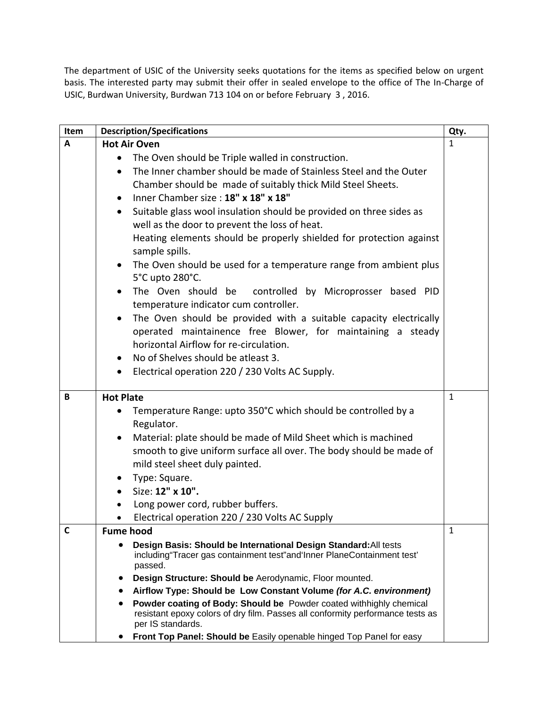The department of USIC of the University seeks quotations for the items as specified below on urgent basis. The interested party may submit their offer in sealed envelope to the office of The In-Charge of USIC, Burdwan University, Burdwan 713 104 on or before February 3 , 2016.

| Item | <b>Description/Specifications</b>                                                                                                                                               | Qty.         |
|------|---------------------------------------------------------------------------------------------------------------------------------------------------------------------------------|--------------|
| A    | <b>Hot Air Oven</b>                                                                                                                                                             | 1            |
|      | The Oven should be Triple walled in construction.<br>$\bullet$                                                                                                                  |              |
|      | The Inner chamber should be made of Stainless Steel and the Outer<br>$\bullet$                                                                                                  |              |
|      | Chamber should be made of suitably thick Mild Steel Sheets.                                                                                                                     |              |
|      | Inner Chamber size: 18" x 18" x 18"<br>٠                                                                                                                                        |              |
|      | Suitable glass wool insulation should be provided on three sides as<br>$\bullet$<br>well as the door to prevent the loss of heat.                                               |              |
|      | Heating elements should be properly shielded for protection against                                                                                                             |              |
|      | sample spills.                                                                                                                                                                  |              |
|      | The Oven should be used for a temperature range from ambient plus<br>$\bullet$<br>5°C upto 280°C.                                                                               |              |
|      | The Oven should be<br>controlled by Microprosser based PID<br>$\bullet$                                                                                                         |              |
|      | temperature indicator cum controller.                                                                                                                                           |              |
|      | The Oven should be provided with a suitable capacity electrically<br>$\bullet$                                                                                                  |              |
|      | operated maintainence free Blower, for maintaining a steady                                                                                                                     |              |
|      | horizontal Airflow for re-circulation.                                                                                                                                          |              |
|      | No of Shelves should be atleast 3.<br>$\bullet$                                                                                                                                 |              |
|      | Electrical operation 220 / 230 Volts AC Supply.<br>$\bullet$                                                                                                                    |              |
| B    | <b>Hot Plate</b>                                                                                                                                                                | $\mathbf{1}$ |
|      | Temperature Range: upto 350°C which should be controlled by a<br>$\bullet$                                                                                                      |              |
|      | Regulator.                                                                                                                                                                      |              |
|      | Material: plate should be made of Mild Sheet which is machined<br>$\bullet$                                                                                                     |              |
|      | smooth to give uniform surface all over. The body should be made of                                                                                                             |              |
|      | mild steel sheet duly painted.                                                                                                                                                  |              |
|      | Type: Square.<br>$\bullet$                                                                                                                                                      |              |
|      | Size: 12" x 10".                                                                                                                                                                |              |
|      | Long power cord, rubber buffers.                                                                                                                                                |              |
|      | Electrical operation 220 / 230 Volts AC Supply<br>$\bullet$                                                                                                                     |              |
| С    | <b>Fume hood</b>                                                                                                                                                                | 1            |
|      | Design Basis: Should be International Design Standard: All tests<br>$\bullet$<br>including"Tracer gas containment test"and'Inner PlaneContainment test'<br>passed.              |              |
|      | Design Structure: Should be Aerodynamic, Floor mounted.<br>٠                                                                                                                    |              |
|      | Airflow Type: Should be Low Constant Volume (for A.C. environment)<br>٠                                                                                                         |              |
|      | Powder coating of Body: Should be Powder coated withhighly chemical<br>٠<br>resistant epoxy colors of dry film. Passes all conformity performance tests as<br>per IS standards. |              |
|      | Front Top Panel: Should be Easily openable hinged Top Panel for easy                                                                                                            |              |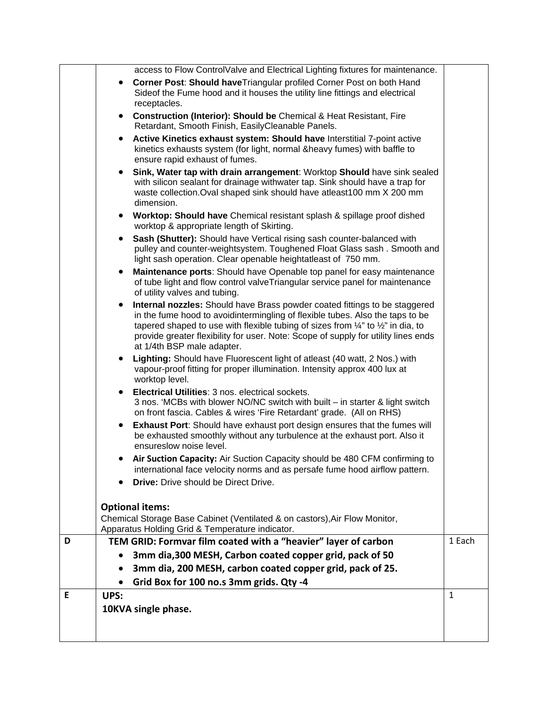|   | access to Flow ControlValve and Electrical Lighting fixtures for maintenance.                                                                                                                                                                                                                                                                                                             |              |
|---|-------------------------------------------------------------------------------------------------------------------------------------------------------------------------------------------------------------------------------------------------------------------------------------------------------------------------------------------------------------------------------------------|--------------|
|   | Corner Post: Should have Triangular profiled Corner Post on both Hand<br>Sideof the Fume hood and it houses the utility line fittings and electrical<br>receptacles.                                                                                                                                                                                                                      |              |
|   | <b>Construction (Interior): Should be Chemical &amp; Heat Resistant, Fire</b><br>Retardant, Smooth Finish, EasilyCleanable Panels.                                                                                                                                                                                                                                                        |              |
|   | Active Kinetics exhaust system: Should have Interstitial 7-point active<br>٠<br>kinetics exhausts system (for light, normal &heavy fumes) with baffle to<br>ensure rapid exhaust of fumes.                                                                                                                                                                                                |              |
|   | Sink, Water tap with drain arrangement: Worktop Should have sink sealed<br>with silicon sealant for drainage withwater tap. Sink should have a trap for<br>waste collection. Oval shaped sink should have atleast100 mm X 200 mm<br>dimension.                                                                                                                                            |              |
|   | • Worktop: Should have Chemical resistant splash & spillage proof dished<br>worktop & appropriate length of Skirting.                                                                                                                                                                                                                                                                     |              |
|   | Sash (Shutter): Should have Vertical rising sash counter-balanced with<br>pulley and counter-weightsystem. Toughened Float Glass sash. Smooth and<br>light sash operation. Clear openable heightatleast of 750 mm.                                                                                                                                                                        |              |
|   | Maintenance ports: Should have Openable top panel for easy maintenance<br>of tube light and flow control valve Triangular service panel for maintenance<br>of utility valves and tubing.                                                                                                                                                                                                  |              |
|   | Internal nozzles: Should have Brass powder coated fittings to be staggered<br>in the fume hood to avoidintermingling of flexible tubes. Also the taps to be<br>tapered shaped to use with flexible tubing of sizes from $\frac{1}{4}$ " to $\frac{1}{2}$ " in dia, to<br>provide greater flexibility for user. Note: Scope of supply for utility lines ends<br>at 1/4th BSP male adapter. |              |
|   | Lighting: Should have Fluorescent light of atleast (40 watt, 2 Nos.) with<br>$\bullet$<br>vapour-proof fitting for proper illumination. Intensity approx 400 lux at<br>worktop level.                                                                                                                                                                                                     |              |
|   | Electrical Utilities: 3 nos. electrical sockets.<br>3 nos. 'MCBs with blower NO/NC switch with built – in starter & light switch<br>on front fascia. Cables & wires 'Fire Retardant' grade. (All on RHS)                                                                                                                                                                                  |              |
|   | <b>Exhaust Port:</b> Should have exhaust port design ensures that the fumes will<br>be exhausted smoothly without any turbulence at the exhaust port. Also it<br>ensureslow noise level.                                                                                                                                                                                                  |              |
|   | Air Suction Capacity: Air Suction Capacity should be 480 CFM confirming to<br>$\bullet$<br>international face velocity norms and as persafe fume hood airflow pattern.                                                                                                                                                                                                                    |              |
|   | <b>Drive:</b> Drive should be Direct Drive.                                                                                                                                                                                                                                                                                                                                               |              |
|   | <b>Optional items:</b>                                                                                                                                                                                                                                                                                                                                                                    |              |
|   | Chemical Storage Base Cabinet (Ventilated & on castors), Air Flow Monitor,<br>Apparatus Holding Grid & Temperature indicator.                                                                                                                                                                                                                                                             |              |
| D | TEM GRID: Formvar film coated with a "heavier" layer of carbon                                                                                                                                                                                                                                                                                                                            | 1 Each       |
|   | 3mm dia, 300 MESH, Carbon coated copper grid, pack of 50                                                                                                                                                                                                                                                                                                                                  |              |
|   | 3mm dia, 200 MESH, carbon coated copper grid, pack of 25.                                                                                                                                                                                                                                                                                                                                 |              |
|   | Grid Box for 100 no.s 3mm grids. Qty -4                                                                                                                                                                                                                                                                                                                                                   |              |
| E | UPS:                                                                                                                                                                                                                                                                                                                                                                                      | $\mathbf{1}$ |
|   | 10KVA single phase.                                                                                                                                                                                                                                                                                                                                                                       |              |